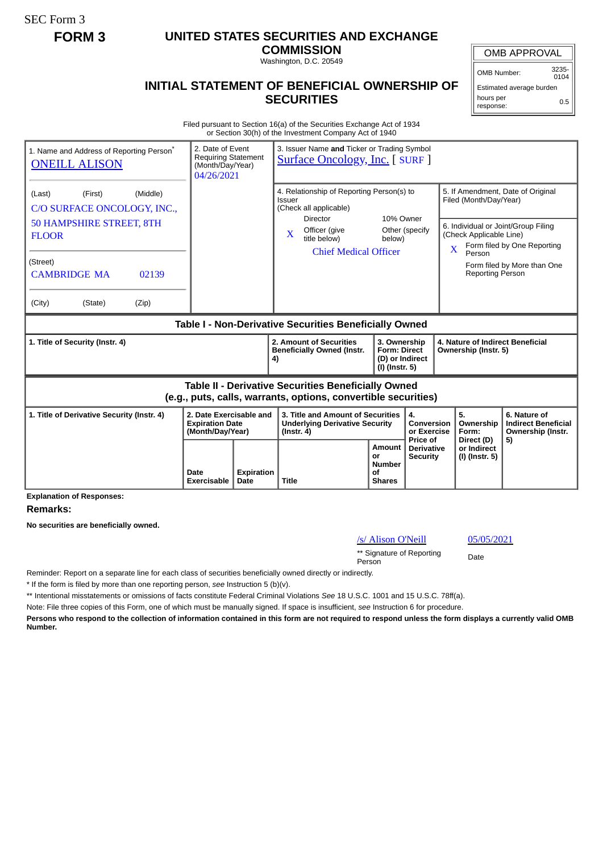SEC Form 3

## **FORM 3 UNITED STATES SECURITIES AND EXCHANGE**

**COMMISSION** Washington, D.C. 20549

## **INITIAL STATEMENT OF BENEFICIAL OWNERSHIP OF SECURITIES**

OMB APPROVAL

OMB Number: 3235-  $0104$ 

Estimated average burden hours per response: 0.5

Filed pursuant to Section 16(a) of the Securities Exchange Act of 1934 or Section 30(h) of the Investment Company Act of 1940

| 1. Name and Address of Reporting Person <sup>®</sup><br><b>ONEILL ALISON</b> | 2. Date of Event<br><b>Requiring Statement</b><br>(Month/Day/Year)<br>04/26/2021 |  | 3. Issuer Name and Ticker or Trading Symbol<br><b>Surface Oncology, Inc. [ SURF ]</b>                                        |                                                                          |                                             |                                                                                                                                    |                                                                       |  |
|------------------------------------------------------------------------------|----------------------------------------------------------------------------------|--|------------------------------------------------------------------------------------------------------------------------------|--------------------------------------------------------------------------|---------------------------------------------|------------------------------------------------------------------------------------------------------------------------------------|-----------------------------------------------------------------------|--|
| (First)<br>(Middle)<br>(Last)<br>C/O SURFACE ONCOLOGY, INC.,                 |                                                                                  |  | 4. Relationship of Reporting Person(s) to<br>Issuer<br>(Check all applicable)<br><b>Director</b>                             |                                                                          |                                             | 5. If Amendment, Date of Original<br>Filed (Month/Day/Year)                                                                        |                                                                       |  |
| <b>50 HAMPSHIRE STREET, 8TH</b><br><b>FLOOR</b>                              |                                                                                  |  | Officer (give<br>$\mathbf{X}$<br>title below)<br><b>Chief Medical Officer</b>                                                | 10% Owner<br>Other (specify<br>below)                                    |                                             | 6. Individual or Joint/Group Filing<br>(Check Applicable Line)<br>Form filed by One Reporting<br>$\overline{\mathbf{X}}$<br>Person |                                                                       |  |
| (Street)<br><b>CAMBRIDGE MA</b><br>02139                                     |                                                                                  |  |                                                                                                                              |                                                                          |                                             | <b>Reporting Person</b>                                                                                                            | Form filed by More than One                                           |  |
| (Zip)<br>(City)<br>(State)                                                   |                                                                                  |  |                                                                                                                              |                                                                          |                                             |                                                                                                                                    |                                                                       |  |
| Table I - Non-Derivative Securities Beneficially Owned                       |                                                                                  |  |                                                                                                                              |                                                                          |                                             |                                                                                                                                    |                                                                       |  |
|                                                                              |                                                                                  |  |                                                                                                                              |                                                                          |                                             |                                                                                                                                    |                                                                       |  |
| 1. Title of Security (Instr. 4)                                              |                                                                                  |  | 2. Amount of Securities<br><b>Beneficially Owned (Instr.</b><br>4)                                                           | 3. Ownership<br><b>Form: Direct</b><br>(D) or Indirect<br>(I) (Instr. 5) |                                             | 4. Nature of Indirect Beneficial<br>Ownership (Instr. 5)                                                                           |                                                                       |  |
|                                                                              |                                                                                  |  | <b>Table II - Derivative Securities Beneficially Owned</b><br>(e.g., puts, calls, warrants, options, convertible securities) |                                                                          |                                             |                                                                                                                                    |                                                                       |  |
| 1. Title of Derivative Security (Instr. 4)                                   | 2. Date Exercisable and<br><b>Expiration Date</b><br>(Month/Day/Year)            |  | 3. Title and Amount of Securities<br><b>Underlying Derivative Security</b><br>$($ lnstr. 4 $)$                               |                                                                          | 4.<br>Conversion<br>or Exercise<br>Price of | 5.<br>Ownership<br>Form:<br>Direct (D)                                                                                             | 6. Nature of<br><b>Indirect Beneficial</b><br>Ownership (Instr.<br>5) |  |

**Explanation of Responses:**

**Remarks:**

**No securities are beneficially owned.**

|  | /s/ Alison O'Neill |  |
|--|--------------------|--|

05/05/2021

\*\* Signature of Reporting Person Date

Reminder: Report on a separate line for each class of securities beneficially owned directly or indirectly.

\* If the form is filed by more than one reporting person, *see* Instruction 5 (b)(v).

\*\* Intentional misstatements or omissions of facts constitute Federal Criminal Violations *See* 18 U.S.C. 1001 and 15 U.S.C. 78ff(a).

Note: File three copies of this Form, one of which must be manually signed. If space is insufficient, *see* Instruction 6 for procedure.

**Persons who respond to the collection of information contained in this form are not required to respond unless the form displays a currently valid OMB Number.**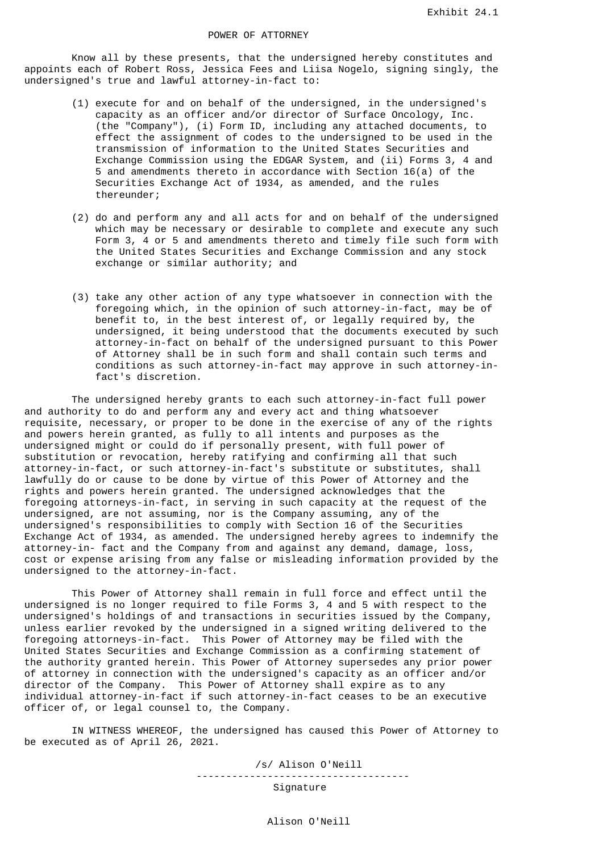Know all by these presents, that the undersigned hereby constitutes and appoints each of Robert Ross, Jessica Fees and Liisa Nogelo, signing singly, the undersigned's true and lawful attorney-in-fact to:

- (1) execute for and on behalf of the undersigned, in the undersigned's capacity as an officer and/or director of Surface Oncology, Inc. (the "Company"), (i) Form ID, including any attached documents, to effect the assignment of codes to the undersigned to be used in the transmission of information to the United States Securities and Exchange Commission using the EDGAR System, and (ii) Forms 3, 4 and 5 and amendments thereto in accordance with Section 16(a) of the Securities Exchange Act of 1934, as amended, and the rules thereunder;
- (2) do and perform any and all acts for and on behalf of the undersigned which may be necessary or desirable to complete and execute any such Form 3, 4 or 5 and amendments thereto and timely file such form with the United States Securities and Exchange Commission and any stock exchange or similar authority; and
- (3) take any other action of any type whatsoever in connection with the foregoing which, in the opinion of such attorney-in-fact, may be of benefit to, in the best interest of, or legally required by, the undersigned, it being understood that the documents executed by such attorney-in-fact on behalf of the undersigned pursuant to this Power of Attorney shall be in such form and shall contain such terms and conditions as such attorney-in-fact may approve in such attorney-in fact's discretion.

 The undersigned hereby grants to each such attorney-in-fact full power and authority to do and perform any and every act and thing whatsoever requisite, necessary, or proper to be done in the exercise of any of the rights and powers herein granted, as fully to all intents and purposes as the undersigned might or could do if personally present, with full power of substitution or revocation, hereby ratifying and confirming all that such attorney-in-fact, or such attorney-in-fact's substitute or substitutes, shall lawfully do or cause to be done by virtue of this Power of Attorney and the rights and powers herein granted. The undersigned acknowledges that the foregoing attorneys-in-fact, in serving in such capacity at the request of the undersigned, are not assuming, nor is the Company assuming, any of the undersigned's responsibilities to comply with Section 16 of the Securities Exchange Act of 1934, as amended. The undersigned hereby agrees to indemnify the attorney-in- fact and the Company from and against any demand, damage, loss, cost or expense arising from any false or misleading information provided by the undersigned to the attorney-in-fact.

 This Power of Attorney shall remain in full force and effect until the undersigned is no longer required to file Forms 3, 4 and 5 with respect to the undersigned's holdings of and transactions in securities issued by the Company, unless earlier revoked by the undersigned in a signed writing delivered to the foregoing attorneys-in-fact. This Power of Attorney may be filed with the United States Securities and Exchange Commission as a confirming statement of the authority granted herein. This Power of Attorney supersedes any prior power of attorney in connection with the undersigned's capacity as an officer and/or director of the Company. This Power of Attorney shall expire as to any individual attorney-in-fact if such attorney-in-fact ceases to be an executive officer of, or legal counsel to, the Company.

 IN WITNESS WHEREOF, the undersigned has caused this Power of Attorney to be executed as of April 26, 2021.

> /s/ Alison O'Neill ------------------------------------ Signature

> > Alison O'Neill